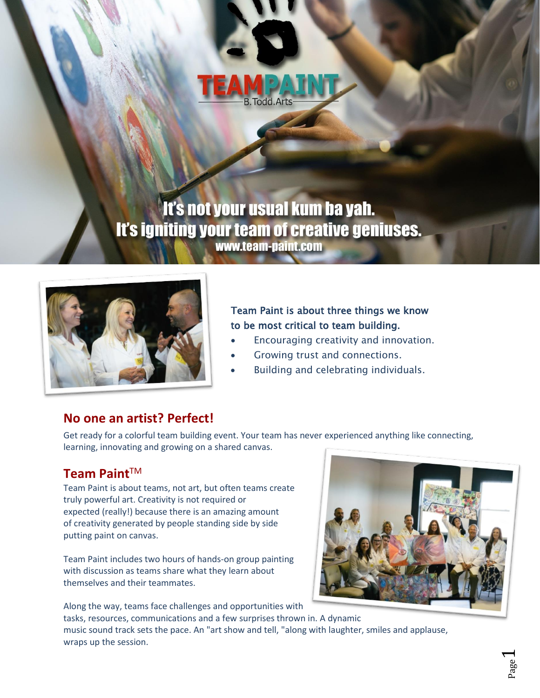

It's not your usual kum ba yah. It's igniting your team of creative geniuses. www.team-paint.com



## Team Paint is about three things we know to be most critical to team building.

- Encouraging creativity and innovation.
- Growing trust and connections.
- Building and celebrating individuals.

# **No one an artist? Perfect!**

Get ready for a colorful team building event. Your team has never experienced anything like connecting, learning, innovating and growing on a shared canvas.

# **Team Paint**TM

Team Paint is about teams, not art, but often teams create truly powerful art. Creativity is not required or expected (really!) because there is an amazing amount of creativity generated by people standing side by side putting paint on canvas.

Team Paint includes two hours of hands-on group painting with discussion as teams share what they learn about themselves and their teammates.



Along the way, teams face challenges and opportunities with tasks, resources, communications and a few surprises thrown in. A dynamic music sound track sets the pace. An "art show and tell, "along with laughter, smiles and applause, wraps up the session.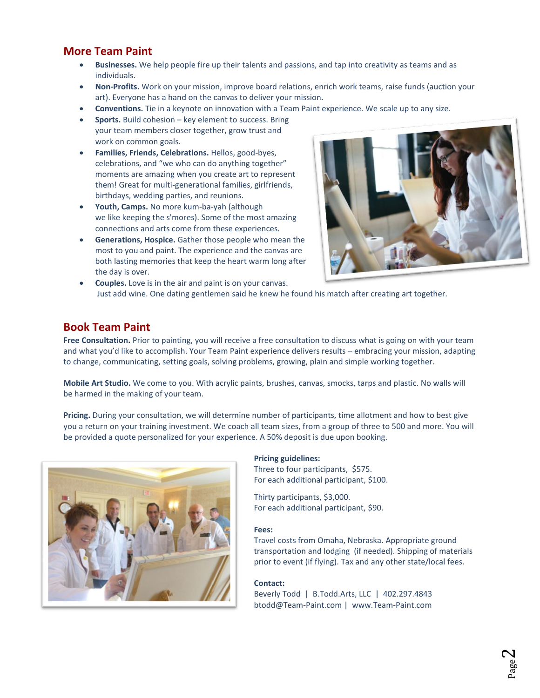### **More Team Paint**

- **Businesses.** We help people fire up their talents and passions, and tap into creativity as teams and as individuals.
- **Non-Profits.** Work on your mission, improve board relations, enrich work teams, raise funds (auction your art). Everyone has a hand on the canvas to deliver your mission.
- **Conventions.** Tie in a keynote on innovation with a Team Paint experience. We scale up to any size.
- **Sports.** Build cohesion key element to success. Bring your team members closer together, grow trust and work on common goals.
- **Families, Friends, Celebrations.** Hellos, good-byes, celebrations, and "we who can do anything together" moments are amazing when you create art to represent them! Great for multi-generational families, girlfriends, birthdays, wedding parties, and reunions.
- **Youth, Camps.** No more kum-ba-yah (although we like keeping the s'mores). Some of the most amazing connections and arts come from these experiences.
- **Generations, Hospice.** Gather those people who mean the most to you and paint. The experience and the canvas are both lasting memories that keep the heart warm long after the day is over.



• **Couples.** Love is in the air and paint is on your canvas. Just add wine. One dating gentlemen said he knew he found his match after creating art together.

### **Book Team Paint**

**Free Consultation.** Prior to painting, you will receive a free consultation to discuss what is going on with your team and what you'd like to accomplish. Your Team Paint experience delivers results – embracing your mission, adapting to change, communicating, setting goals, solving problems, growing, plain and simple working together.

**Mobile Art Studio.** We come to you. With acrylic paints, brushes, canvas, smocks, tarps and plastic. No walls will be harmed in the making of your team.

**Pricing.** During your consultation, we will determine number of participants, time allotment and how to best give you a return on your training investment. We coach all team sizes, from a group of three to 500 and more. You will be provided a quote personalized for your experience. A 50% deposit is due upon booking.



#### **Pricing guidelines:**

Three to four participants, \$575. For each additional participant, \$100.

Thirty participants, \$3,000. For each additional participant, \$90.

#### **Fees:**

Travel costs from Omaha, Nebraska. Appropriate ground transportation and lodging (if needed). Shipping of materials prior to event (if flying). Tax and any other state/local fees.

#### **Contact:**

Beverly Todd | B.Todd.Arts, LLC | 402.297.4843 [btodd@Team-Paint.com](mailto:btodd@Team-Paint.com) | www.Team-Paint.com